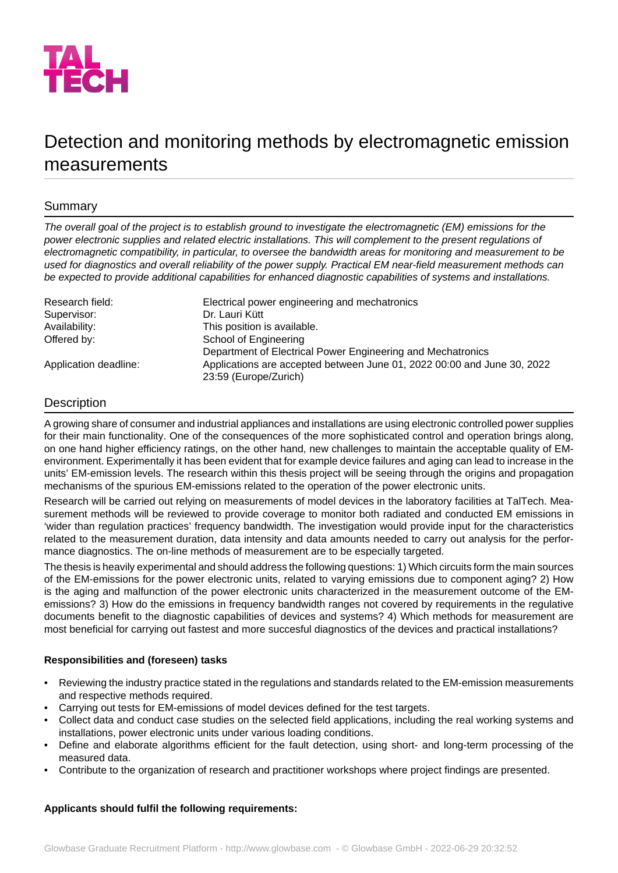

# Detection and monitoring methods by electromagnetic emission measurements

# Summary

*The overall goal of the project is to establish ground to investigate the electromagnetic (EM) emissions for the power electronic supplies and related electric installations. This will complement to the present regulations of electromagnetic compatibility, in particular, to oversee the bandwidth areas for monitoring and measurement to be* used for diagnostics and overall reliability of the power supply. Practical EM near-field measurement methods can *be expected to provide additional capabilities for enhanced diagnostic capabilities of systems and installations.*

| Research field:       | Electrical power engineering and mechatronics                           |
|-----------------------|-------------------------------------------------------------------------|
| Supervisor:           | Dr. Lauri Kütt                                                          |
| Availability:         | This position is available.                                             |
| Offered by:           | School of Engineering                                                   |
|                       | Department of Electrical Power Engineering and Mechatronics             |
| Application deadline: | Applications are accepted between June 01, 2022 00:00 and June 30, 2022 |
|                       | 23:59 (Europe/Zurich)                                                   |

# **Description**

A growing share of consumer and industrial appliances and installations are using electronic controlled power supplies for their main functionality. One of the consequences of the more sophisticated control and operation brings along, on one hand higher efficiency ratings, on the other hand, new challenges to maintain the acceptable quality of EMenvironment. Experimentally it has been evident that for example device failures and aging can lead to increase in the units' EM-emission levels. The research within this thesis project will be seeing through the origins and propagation mechanisms of the spurious EM-emissions related to the operation of the power electronic units.

Research will be carried out relying on measurements of model devices in the laboratory facilities at TalTech. Measurement methods will be reviewed to provide coverage to monitor both radiated and conducted EM emissions in 'wider than regulation practices' frequency bandwidth. The investigation would provide input for the characteristics related to the measurement duration, data intensity and data amounts needed to carry out analysis for the performance diagnostics. The on-line methods of measurement are to be especially targeted.

The thesis is heavily experimental and should address the following questions: 1) Which circuits form the main sources of the EM-emissions for the power electronic units, related to varying emissions due to component aging? 2) How is the aging and malfunction of the power electronic units characterized in the measurement outcome of the EMemissions? 3) How do the emissions in frequency bandwidth ranges not covered by requirements in the regulative documents benefit to the diagnostic capabilities of devices and systems? 4) Which methods for measurement are most beneficial for carrying out fastest and more succesful diagnostics of the devices and practical installations?

## **Responsibilities and (foreseen) tasks**

- Reviewing the industry practice stated in the regulations and standards related to the EM-emission measurements and respective methods required.
- Carrying out tests for EM-emissions of model devices defined for the test targets.
- Collect data and conduct case studies on the selected field applications, including the real working systems and installations, power electronic units under various loading conditions.
- Define and elaborate algorithms efficient for the fault detection, using short- and long-term processing of the measured data.
- Contribute to the organization of research and practitioner workshops where project findings are presented.

#### **Applicants should fulfil the following requirements:**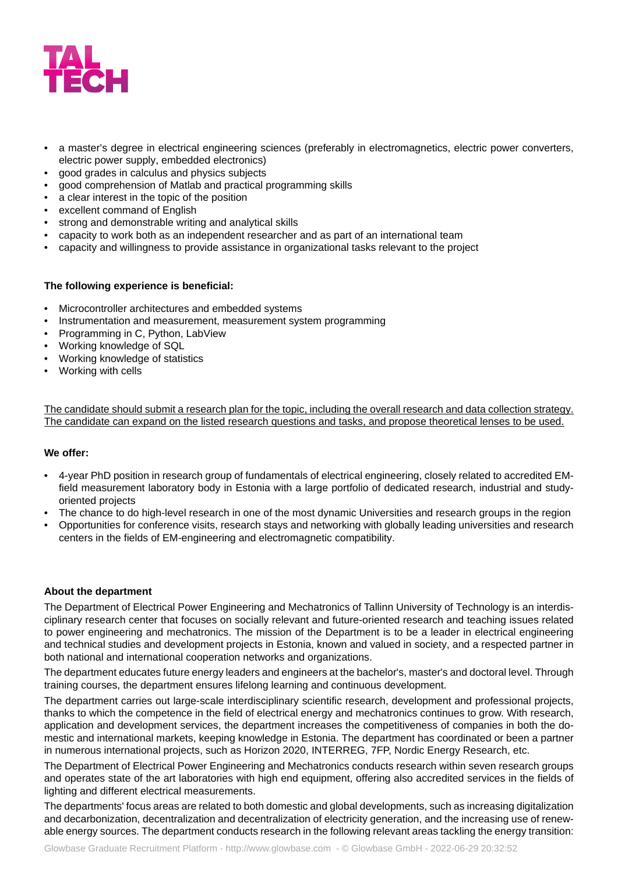

- a master's degree in electrical engineering sciences (preferably in electromagnetics, electric power converters, electric power supply, embedded electronics)
- good grades in calculus and physics subjects
- good comprehension of Matlab and practical programming skills
- a clear interest in the topic of the position
- excellent command of English
- strong and demonstrable writing and analytical skills
- capacity to work both as an independent researcher and as part of an international team
- capacity and willingness to provide assistance in organizational tasks relevant to the project

#### **The following experience is beneficial:**

- Microcontroller architectures and embedded systems
- Instrumentation and measurement, measurement system programming
- Programming in C, Python, LabView
- Working knowledge of SQL
- Working knowledge of statistics
- Working with cells

The candidate should submit a research plan for the topic, including the overall research and data collection strategy. The candidate can expand on the listed research questions and tasks, and propose theoretical lenses to be used.

#### **We offer:**

- 4-year PhD position in research group of fundamentals of electrical engineering, closely related to accredited EMfield measurement laboratory body in Estonia with a large portfolio of dedicated research, industrial and studyoriented projects
- The chance to do high-level research in one of the most dynamic Universities and research groups in the region
- Opportunities for conference visits, research stays and networking with globally leading universities and research centers in the fields of EM-engineering and electromagnetic compatibility.

#### **About the department**

The Department of Electrical Power Engineering and Mechatronics of Tallinn University of Technology is an interdisciplinary research center that focuses on socially relevant and future-oriented research and teaching issues related to power engineering and mechatronics. The mission of the Department is to be a leader in electrical engineering and technical studies and development projects in Estonia, known and valued in society, and a respected partner in both national and international cooperation networks and organizations.

The department educates future energy leaders and engineers at the bachelor's, master's and doctoral level. Through training courses, the department ensures lifelong learning and continuous development.

The department carries out large-scale interdisciplinary scientific research, development and professional projects, thanks to which the competence in the field of electrical energy and mechatronics continues to grow. With research, application and development services, the department increases the competitiveness of companies in both the domestic and international markets, keeping knowledge in Estonia. The department has coordinated or been a partner in numerous international projects, such as Horizon 2020, INTERREG, 7FP, Nordic Energy Research, etc.

The Department of Electrical Power Engineering and Mechatronics conducts research within seven research groups and operates state of the art laboratories with high end equipment, offering also accredited services in the fields of lighting and different electrical measurements.

The departments' focus areas are related to both domestic and global developments, such as increasing digitalization and decarbonization, decentralization and decentralization of electricity generation, and the increasing use of renewable energy sources. The department conducts research in the following relevant areas tackling the energy transition: